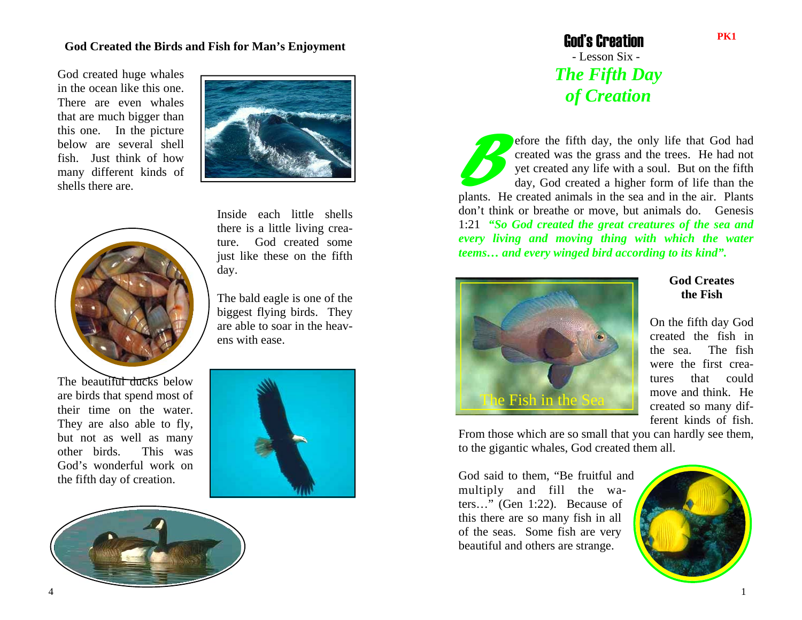## **God Created the Birds and Fish for Man's Enjoyment**

God created huge whales in the ocean like this one. There are even whales that are much bigger than this one. In the picture below are several shell fish. Just think of how many different kinds of shells there are.





The beautiful ducks below are birds that spend most of their time on the water. They are also able to fly, but not as well as many other birds. This was God's wonderful work on the fifth day of creation.

Inside each little shells there is a little living creature. God created some just like these on the fifth day.

The bald eagle is one of the biggest flying birds. They are able to soar in the heavens with ease.





 God's Creation - Lesson Six - *The Fifth Day of Creation*

*B*efore the fifth day, the only life that God had created was the grass and the trees. He had not yet created any life with a soul. But on the fifth day, God created a higher form of life than the plants. He created animals in the sea and in the air. Plants don't think or breathe or move, but animals do. Genesis 1:21 *"So God created the great creatures of the sea and every living and moving thing with which the water teems… and every winged bird according to its kind".* 



## **God Creates the Fish**

On the fifth day God created the fish in the sea. The fish were the first creatures that could move and think. He created so many different kinds of fish.

From those which are so small that you can hardly see them, to the gigantic whales, God created them all.

God said to them, "Be fruitful and multiply and fill the waters…" (Gen 1:22). Because of this there are so many fish in all of the seas. Some fish are very beautiful and others are strange.